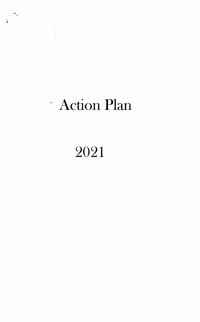# Action Plan

 $\mathbf{r}$ 

# 2021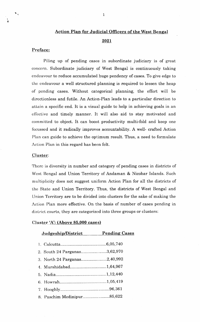# **Action Plan for Judicial Officers of the West Bengal** 2021

#### Preface:

Piling up of pending cases in subordinate judiciary is of great concern. Subordinate judiciary of West Bengal is continuously taking endeavour to reduce accumulated huge pendency of cases. To give edge to the endeavour a well structured planning is required to lessen the heap of pending cases. Without categorical planning, the effort will be directionless and futile. An Action-Plan leads to a particular direction to attain a specific end. It is a visual guide to help in achieving goals in an effective and timely manner. It will also aid to stay motivated and committed to object. It can boost productivity multi-fold and keep one focussed and it radically improves accountability. A well- crafted Action Plan can guide to achieve the optimum result. Thus, a need to formulate Action Plan in this regard has been felt.

#### Cluster:

There is diversity in number and category of pending cases in districts of West Bengal and Union Territory of Andaman & Nicobar Islands. Such multiplicity does not suggest uniform Action Plan for all the districts of the State and Union Territory. Thus, the districts of West Bengal and Union Territory are to be divided into clusters for the sake of making the Action Plan more effective. On the basis of number of cases pending in district courts, they are categorized into three groups or clusters:

#### Cluster 'A': (Above 85,000 cases)

| Judgeship/District           | <b>Pending Cases</b> |
|------------------------------|----------------------|
|                              |                      |
| 2. South 24 Parganas3,62,970 |                      |
| 3. North 24 Parganas2,40,992 |                      |
| 4. Murshidabad1,64,967       |                      |
|                              |                      |
|                              |                      |
|                              |                      |
|                              |                      |
|                              |                      |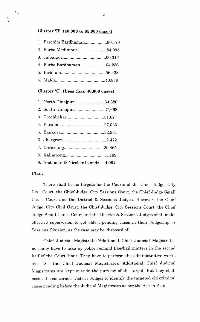#### Cluster 'B':  $(40,000 \text{ to } 85,000 \text{ cases})$

| 1. Paschim Bardhaman80,178 |  |
|----------------------------|--|
| 2. Purba Medinipur84,095   |  |
|                            |  |
| 4. Purba Bardhaman64,236   |  |
|                            |  |
|                            |  |

#### Cluster  $C$ : (Less than 40,000 cases)

| 1. North Dinajpur34,386                                                                                                                                                                                                                                                                                                                                                                                              |  |
|----------------------------------------------------------------------------------------------------------------------------------------------------------------------------------------------------------------------------------------------------------------------------------------------------------------------------------------------------------------------------------------------------------------------|--|
| 2. South Dinajpur27,668                                                                                                                                                                                                                                                                                                                                                                                              |  |
| 3. Coochbehar31,627                                                                                                                                                                                                                                                                                                                                                                                                  |  |
|                                                                                                                                                                                                                                                                                                                                                                                                                      |  |
|                                                                                                                                                                                                                                                                                                                                                                                                                      |  |
|                                                                                                                                                                                                                                                                                                                                                                                                                      |  |
|                                                                                                                                                                                                                                                                                                                                                                                                                      |  |
|                                                                                                                                                                                                                                                                                                                                                                                                                      |  |
| $\alpha$ , $\beta$ , $\beta$ , $\gamma$ , $\gamma$ , $\gamma$ , $\gamma$ , $\gamma$ , $\gamma$ , $\gamma$ , $\gamma$ , $\gamma$ , $\gamma$ , $\gamma$ , $\gamma$ , $\gamma$ , $\gamma$ , $\gamma$ , $\gamma$ , $\gamma$ , $\gamma$ , $\gamma$ , $\gamma$ , $\gamma$ , $\gamma$ , $\gamma$ , $\gamma$ , $\gamma$ , $\gamma$ , $\gamma$ , $\gamma$ , $\gamma$ , $\gamma$ , $\gamma$ , $\gamma$ , $\gamma$ , $\gamma$ , |  |

#### 9. Andaman & Nicobar Islands.....4,054

### Plan:

There shall be no targets for the Courts of the Chief Judge, City Civil Court, the Chief Judge, City Sessions Court, the Chief Judge Small Cause Court and the District & Sessions Judges. However, the Chief Judge, City Civil Court, the Chief Judge, City Sessions Court, the Chief Judge Small Cause Court and the District & Sessions Judges shall make effective supervision to get oldest pending cases in their Judgeship or Sessions Division, as the case may be, disposed of.

Chief Judicial Magistrates/Additional Chief Judicial Magistrates normally have to take up police remand files/bail matters in the second half of the Court Hour. They have to perform the administrative works also. So, the Chief Judicial Magistrates/ Additional Chief Judicial Magistrates are kept outside the purview of the target. But they shall assist the concerned District Judges to identify the targeted old criminal cases pending before the Judicial Magistrates as per the Action Plan.

 $\ddot{\mathbf{z}}$ 

 $\mathcal{F}_{\mathcal{A}}$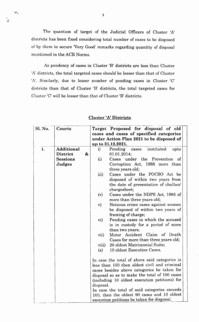The quantum of target of the Judicial Officers of Cluster 'A' districts has been fixed considering total number of cases to be disposed of by them to secure 'Very Good' remarks regarding quantity of disposal mentioned in the ACR Norms.

As pendency of cases in Cluster 'B' districts are less than Cluster 'A' districts, the total targeted cases should be lesser than that of Cluster 'A'. Similarly, due to lesser number of pending cases in Cluster 'C' districts than that of Cluster 'B' districts, the total targeted cases for Cluster 'C' will be lesser than that of Cluster 'B' districts.

| Sl. No.<br>Courts                                         |   |                                                                          | Target Proposed for disposal of old<br>cases and cases of specified categories<br>under Action Plan 2021 to be disposed of<br>up to 31.12.2021.                                                                                                                                                                                                                                                                                                                                                                                                                                                                                                                                                                                                                                                                                                                                                                                    |
|-----------------------------------------------------------|---|--------------------------------------------------------------------------|------------------------------------------------------------------------------------------------------------------------------------------------------------------------------------------------------------------------------------------------------------------------------------------------------------------------------------------------------------------------------------------------------------------------------------------------------------------------------------------------------------------------------------------------------------------------------------------------------------------------------------------------------------------------------------------------------------------------------------------------------------------------------------------------------------------------------------------------------------------------------------------------------------------------------------|
| Additional<br>1.<br>District<br><b>Sessions</b><br>Judges | & | $\mathbf{i}$<br>$\rm ii)$                                                | instituted<br>Pending cases<br>upto<br>01.01.2014;<br>under the Prevention<br>Cases<br>of<br>Corruption Act, 1988 more than<br>three years old;                                                                                                                                                                                                                                                                                                                                                                                                                                                                                                                                                                                                                                                                                                                                                                                    |
|                                                           |   | iii)<br>iv)<br>$\mathbf{v})$<br>vi)<br>vii)<br>viii)<br>ix)<br>disposal. | Cases under the POCSO Act be<br>disposed of within two years from<br>the date of presentation of challan/<br>chargesheet;<br>Cases under the NDPS Act, 1985 of<br>more than three years old;<br>Heinous crime cases against women<br>be disposed of within two years of<br>framing of charge;<br>Pending cases in which the accused<br>is in custody for a period of more<br>than two years;<br>Motor Accident Claim of Death<br>Cases for more than three years old;<br>20 oldest Matrimonial Suits;<br>10 oldest Execution Cases.<br>In case the total of above said categories is<br>less than 100 then oldest civil and criminal<br>cases besides above categories be taken for<br>disposal so as to make the total of 100 cases<br>(including 10 oldest execution petitions) for<br>In case the total of said categories exceeds<br>100, then the oldest 90 cases and 10 oldest<br>execution petitions be taken for disposal. |

### Cluster 'A' Districts

ta.

t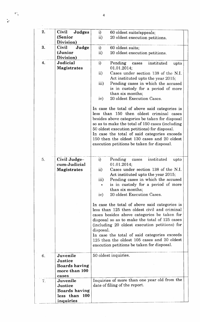| 2. | Judges<br>Civil      | i)                | 60 oldest suits/appeals;                        |  |
|----|----------------------|-------------------|-------------------------------------------------|--|
|    | (Senior              | $\mathbf{ii}$     | 20 oldest execution petitions.                  |  |
|    | Division)            |                   |                                                 |  |
| 3. | Judge<br>Civil       | i)                | 60 oldest suits;                                |  |
|    | (Junior              | $\mathbf{ii}$     | 20 oldest execution petitions.                  |  |
|    | Division)            |                   |                                                 |  |
| 4. | Judicial             | $\bf i)$          | Pending<br>instituted<br>cases<br>upto          |  |
|    | Magistrates          |                   | 01.01.2014;                                     |  |
|    |                      | $\overline{ii}$ ) | Cases under section 138 of the N.I.             |  |
|    |                      |                   | Act instituted upto the year 2015;              |  |
|    |                      | iii)              | Pending cases in which the accused              |  |
|    |                      |                   | is in custody for a period of more              |  |
|    |                      |                   | than six months;                                |  |
|    |                      | iv)               | 20 oldest Execution Cases.                      |  |
|    |                      |                   |                                                 |  |
|    |                      |                   | In case the total of above said categories is   |  |
|    |                      |                   | less than 150 then oldest criminal cases        |  |
|    |                      |                   | besides above categories be taken for disposal  |  |
|    |                      |                   | so as to make the total of 150 cases (including |  |
|    |                      |                   | 50 oldest execution petitions) for disposal.    |  |
|    |                      |                   | In case the total of said categories exceeds    |  |
|    |                      |                   | 150 then the oldest 130 cases and 20 oldest     |  |
|    |                      |                   | execution petitions be taken for disposal.      |  |
|    |                      |                   |                                                 |  |
|    |                      |                   |                                                 |  |
| 5. | Civil Judge-         | $\mathbf{i}$      | Pending<br>instituted<br>upto<br>cases          |  |
|    | cum-Judicial         |                   | 01.01.2014;                                     |  |
|    | Magistrates          | $\overline{ii}$   | Cases under section 138 of the N.I.             |  |
|    |                      |                   | Act instituted upto the year 2015;              |  |
|    |                      | iii)              | Pending cases in which the accused              |  |
|    |                      |                   | is in custody for a period of more              |  |
|    |                      |                   | than six months;                                |  |
|    |                      | iv)               | 20 oldest Execution Cases.                      |  |
|    |                      |                   |                                                 |  |
|    |                      |                   | In case the total of above said categories is   |  |
|    |                      |                   | less than 125 then oldest civil and criminal    |  |
|    |                      |                   | cases besides above categories be taken for     |  |
|    |                      |                   | disposal so as to make the total of 125 cases   |  |
|    |                      |                   | (including 20 oldest execution petitions) for   |  |
|    |                      | disposal.         |                                                 |  |
|    |                      |                   | In case the total of said categories exceeds    |  |
|    |                      |                   | 125 then the oldest 105 cases and 20 oldest     |  |
|    |                      |                   | execution petitions be taken for disposal.      |  |
| 6. | Juvenile             |                   | 50 oldest inquiries.                            |  |
|    | Justice              |                   |                                                 |  |
|    | <b>Boards having</b> |                   |                                                 |  |
|    | more than 100        |                   |                                                 |  |
|    | cases                |                   |                                                 |  |
| 7. | Juvenile             |                   | Inquiries of more than one year old from the    |  |
|    | Justice              |                   | date of filing of the report.                   |  |
|    | <b>Boards having</b> |                   |                                                 |  |
|    | less than 100        |                   |                                                 |  |
|    | inquiries            |                   |                                                 |  |
|    |                      |                   |                                                 |  |

tat<br>A

 $\ddot{\epsilon}$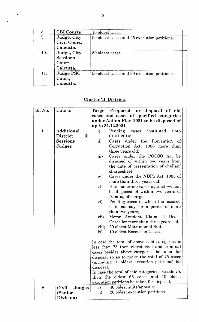| 8   | <b>CBI</b> Courts                                     | 10 oldest cases                             |  |
|-----|-------------------------------------------------------|---------------------------------------------|--|
| 9.  | Judge, City<br>Civil Court,<br>Calcutta.              | 50 oldest cases and 25 execution petitions. |  |
| 10. | Judge, City<br><b>Sessions</b><br>Court,<br>Calcutta. | 50 oldest cases.                            |  |
| 11. | <b>Judge PSC</b><br>Court,<br>Calcutta.               | 50 oldest cases and 20 execution petitions. |  |

# Cluster 'B' Districts

| Sl. No. | Courts                 | Target Proposed for disposal of old                                                      |  |
|---------|------------------------|------------------------------------------------------------------------------------------|--|
|         |                        | cases and cases of specified categories                                                  |  |
|         |                        | under Action Plan 2021 to be disposed of                                                 |  |
|         |                        | up to 31.12.2021.                                                                        |  |
| 1.      | Additional             | Pending cases instituted<br>upto<br>i)                                                   |  |
|         | District<br>&          | 01.01.2014;                                                                              |  |
|         | <b>Sessions</b>        | $\rm ii)$<br>under<br>the Prevention<br>Cases<br>- of                                    |  |
|         | Judges                 | Corruption Act, 1988 more than                                                           |  |
|         |                        | three years old;                                                                         |  |
|         |                        | Cases under the POCSO Act be<br>iii)                                                     |  |
|         |                        | disposed of within two years from                                                        |  |
|         |                        | the date of presentation of challan                                                      |  |
|         |                        | chargesheet;                                                                             |  |
|         |                        | Cases under the NDPS Act, 1985 of<br>iv)                                                 |  |
|         |                        | more than three years old;                                                               |  |
|         |                        | Heinous crime cases against women<br>$\mathbf{v})$<br>be disposed of within two years of |  |
|         |                        | framing of charge;                                                                       |  |
|         |                        | Pending cases in which the accused<br>$\mathbf{vi})$                                     |  |
|         |                        | is in custody for a period of more                                                       |  |
|         |                        | than two years;                                                                          |  |
|         |                        | Motor Accident Claim of Death<br>vii)                                                    |  |
|         |                        | Cases for more than three years old;                                                     |  |
|         |                        | 20 oldest Matrimonial Suits;<br>viii)                                                    |  |
|         |                        | 10 oldest Execution Cases.<br>ix)                                                        |  |
|         |                        |                                                                                          |  |
|         |                        | In case the total of above said categories is                                            |  |
|         |                        | less than 75 then oldest civil and criminal                                              |  |
|         |                        | cases besides above categories be taken for                                              |  |
|         |                        | disposal so as to make the total of 75 cases                                             |  |
|         |                        | (including 10 oldest execution petitions) for                                            |  |
|         |                        | disposal.                                                                                |  |
|         |                        | In case the total of said categories exceeds 75,                                         |  |
|         |                        | then the oldest 65 cases and 10 oldest                                                   |  |
|         |                        | execution petitions be taken for disposal.                                               |  |
| 2.      | <b>Judges</b><br>Civil | 40 oldest suits/appeals;<br>i)                                                           |  |
|         | (Senior                | 20 oldest execution petitions.<br>$\mathbf{ii}$                                          |  |
|         | Division)              |                                                                                          |  |

 $\frac{1}{2}$ 

\<br>\

 $\ddot{\bullet}$  ,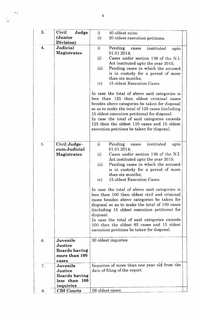| 3. | Civil<br>Judge                                                        | i)<br>40 oldest suits;                                                                                                                                                                                                                                                                                                                                                                                                                                                                                                                                                                         |
|----|-----------------------------------------------------------------------|------------------------------------------------------------------------------------------------------------------------------------------------------------------------------------------------------------------------------------------------------------------------------------------------------------------------------------------------------------------------------------------------------------------------------------------------------------------------------------------------------------------------------------------------------------------------------------------------|
|    | (Junior                                                               | $\mathbf{ii}$<br>20 oldest execution petitions.                                                                                                                                                                                                                                                                                                                                                                                                                                                                                                                                                |
|    | Division)                                                             |                                                                                                                                                                                                                                                                                                                                                                                                                                                                                                                                                                                                |
| 4. | Judicial<br><b>Magistrates</b>                                        | i)<br>Pending<br>instituted<br>cases<br>upto<br>01.01.2014;<br>ii)<br>Cases under section 138 of the N.I.<br>Act instituted upto the year 2015;<br>iii)<br>Pending cases in which the accused<br>is in custody for a period of more<br>than six months;<br>iv)<br>15 oldest Execution Cases.<br>In case the total of above said categories is<br>less than 125 then oldest criminal cases<br>besides above categories be taken for disposal<br>so as to make the total of 125 cases (including<br>15 oldest execution petitions) for disposal.<br>In case the total of said categories exceeds |
|    |                                                                       | 125 then the oldest 110 cases and 15 oldest<br>execution petitions be taken for disposal.                                                                                                                                                                                                                                                                                                                                                                                                                                                                                                      |
| 5. | Civil Judge-                                                          | i)<br>Pending<br>instituted<br>upto<br>cases                                                                                                                                                                                                                                                                                                                                                                                                                                                                                                                                                   |
|    | cum-Judicial                                                          | 01.01.2014;                                                                                                                                                                                                                                                                                                                                                                                                                                                                                                                                                                                    |
|    | Magistrates                                                           | Cases under section 138 of the N.I.<br>$\rm ii)$<br>Act instituted upto the year 2015;<br>iii)<br>Pending cases in which the accused<br>is in custody for a period of more<br>than six months;<br>15 oldest Execution Cases.<br>iv)<br>In case the total of above said categories is<br>less than 100 then oldest civil and criminal<br>cases besides above categories be taken for<br>disposal so as to make the total of 100 cases<br>(including 15 oldest execution petitions) for<br>disposal.<br>In case the total of said categories exceeds                                             |
|    |                                                                       | 100 then the oldest 85 cases and 15 oldest<br>execution petitions be taken for disposal.                                                                                                                                                                                                                                                                                                                                                                                                                                                                                                       |
| 6. | Juvenile<br>Justice<br><b>Boards having</b><br>more than 100<br>cases | 30 oldest inquiries.                                                                                                                                                                                                                                                                                                                                                                                                                                                                                                                                                                           |
| 7. | Juvenile                                                              | Inquiries of more than one year old from the                                                                                                                                                                                                                                                                                                                                                                                                                                                                                                                                                   |
|    | Justice                                                               | date of filing of the report.                                                                                                                                                                                                                                                                                                                                                                                                                                                                                                                                                                  |
|    | <b>Boards having</b>                                                  |                                                                                                                                                                                                                                                                                                                                                                                                                                                                                                                                                                                                |
|    | less than 100                                                         |                                                                                                                                                                                                                                                                                                                                                                                                                                                                                                                                                                                                |
|    | inquiries                                                             |                                                                                                                                                                                                                                                                                                                                                                                                                                                                                                                                                                                                |
| 8. | <b>CBI</b> Courts                                                     | 08 oldest cases                                                                                                                                                                                                                                                                                                                                                                                                                                                                                                                                                                                |

 $\ddotsc$ 

58 N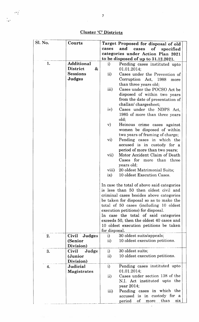$\frac{1}{2}$ 

 $\frac{1}{2}$ 

# Cluster 'C' Districts

 $\mathcal{A}^{\mathcal{A}}$ 

| Sl. No. | Courts               |                 | Target Proposed for disposal of old           |
|---------|----------------------|-----------------|-----------------------------------------------|
|         |                      | cases           | and<br><sub>of</sub><br>cases<br>specified    |
|         |                      |                 | categories under Action Plan 2021             |
|         |                      |                 | to be disposed of up to 31.12.2021.           |
| 1.      | Additional           | $\mathbf{i}$    | Pending cases instituted upto                 |
|         | <b>District</b><br>& |                 | 01.01.2014;                                   |
|         | <b>Sessions</b>      | $\mathbf{ii}$   | Cases under the Prevention of                 |
|         | Judges               |                 | Corruption Act, 1988<br>more                  |
|         |                      |                 | than three years old;                         |
|         |                      | iii)            | Cases under the POCSO Act be                  |
|         |                      |                 | disposed of within two years                  |
|         |                      |                 | from the date of presentation of              |
|         |                      |                 | challan/chargesheet;                          |
|         |                      | iv)             | Cases under the NDPS Act,                     |
|         |                      |                 | 1985 of more than three years                 |
|         |                      |                 | old;                                          |
|         |                      | $\mathbf{v})$   | Heinous crime cases against                   |
|         |                      |                 | women be disposed of within                   |
|         |                      |                 | two years of framing of charge;               |
|         |                      | $\mathbf{vi})$  | Pending cases in which the                    |
|         |                      |                 | accused is in custody for a                   |
|         |                      |                 | period of more than two years;                |
|         |                      | vii)            | Motor Accident Claim of Death                 |
|         |                      |                 | Cases for more than three                     |
|         |                      |                 | years old;                                    |
|         |                      | viii)           | 20 oldest Matrimonial Suits;                  |
|         |                      | ix)             | 10 oldest Execution Cases.                    |
|         |                      |                 |                                               |
|         |                      |                 | In case the total of above said categories    |
|         |                      |                 | is less than 50 then oldest civil and         |
|         |                      |                 | criminal cases besides above categories       |
|         |                      |                 | be taken for disposal so as to make the       |
|         |                      |                 | total of 50 cases (including 10 oldest        |
|         |                      |                 | execution petitions) for disposal.            |
|         |                      |                 | In case the total of said categories          |
|         |                      |                 | exceeds 50, then the oldest 40 cases and      |
|         |                      |                 | 10 oldest execution petitions be taken        |
|         |                      | for disposal.   |                                               |
| 2.      | Civil Judges         | i)              | 30 oldest suits/appeals;                      |
|         | (Senior              | $\mathbf{ii}$   | 10 oldest execution petitions.                |
|         | Division)            |                 |                                               |
| 3.      | Judge<br>Civil       | i)              | 30 oldest suits;                              |
|         | (Junior              | $\mathbf{ii}$ ) | 10 oldest execution petitions.                |
|         | Division)            |                 |                                               |
| 4.      | Judicial             | i)              | Pending cases instituted upto<br>01.01.2014;  |
|         | Magistrates          |                 | Cases under section 138 of the                |
|         |                      | $\rm ii)$       |                                               |
|         |                      |                 | N.I. Act instituted upto the<br>year $2014$ ; |
|         |                      |                 | Pending cases in which the                    |
|         |                      | iii)            | accused is in custody for a                   |
|         |                      |                 | of more<br>than<br>$\rm period$<br>S1X        |
|         |                      |                 |                                               |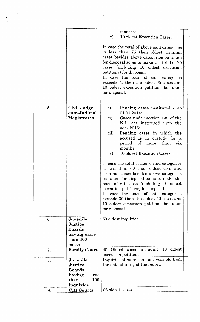|    |                                                                                           | months;<br>iv)<br>10 oldest Execution Cases.                                                                                                                                                                                                                                                                                                                                                                                                                                                                                                                                                                                                                                                                       |  |
|----|-------------------------------------------------------------------------------------------|--------------------------------------------------------------------------------------------------------------------------------------------------------------------------------------------------------------------------------------------------------------------------------------------------------------------------------------------------------------------------------------------------------------------------------------------------------------------------------------------------------------------------------------------------------------------------------------------------------------------------------------------------------------------------------------------------------------------|--|
|    |                                                                                           | In case the total of above said categories<br>is less than 75 then oldest criminal<br>cases besides above categories be taken<br>for disposal so as to make the total of 75<br>cases (including 10 oldest execution<br>petitions) for disposal.<br>In case the total of said categories<br>exceeds 75 then the oldest 65 cases and<br>10 oldest execution petitions be taken<br>for disposal.                                                                                                                                                                                                                                                                                                                      |  |
| 5. | Civil Judge-<br>cum-Judicial<br><b>Magistrates</b>                                        | i)<br>Pending cases instituted upto<br>01.01.2014;<br>$\rm ii)$<br>Cases under section 138 of the<br>N.I. Act instituted upto the<br>year 2015;<br>iii)<br>Pending cases in which the<br>accused is in custody for a<br>period of more than<br>$\sin x$<br>months;<br>10 oldest Execution Cases.<br>iv)<br>In case the total of above said categories<br>is less than 60 then oldest civil and<br>criminal cases besides above categories<br>be taken for disposal so as to make the<br>total of 60 cases (including 10 oldest<br>execution petitions) for disposal.<br>In case the total of said categories<br>exceeds 60 then the oldest 50 cases and<br>10 oldest execution petitions be taken<br>for disposal. |  |
| 6. | Juvenile<br>Justice<br><b>Boards</b><br>having more<br>than 100<br>cases                  | 50 oldest inquiries.                                                                                                                                                                                                                                                                                                                                                                                                                                                                                                                                                                                                                                                                                               |  |
| 7. | <b>Family Court</b>                                                                       | 40 Oldest cases including 10 oldest<br>execution petitions.                                                                                                                                                                                                                                                                                                                                                                                                                                                                                                                                                                                                                                                        |  |
| 8. | Juvenile<br>Justice<br><b>Boards</b><br>having<br>less<br><b>100</b><br>than<br>inquiries | Inquiries of more than one year old from<br>the date of filing of the report.                                                                                                                                                                                                                                                                                                                                                                                                                                                                                                                                                                                                                                      |  |
| 9. | <b>CBI</b> Courts                                                                         | 06 oldest cases                                                                                                                                                                                                                                                                                                                                                                                                                                                                                                                                                                                                                                                                                                    |  |
|    |                                                                                           |                                                                                                                                                                                                                                                                                                                                                                                                                                                                                                                                                                                                                                                                                                                    |  |

 $\ddot{\phantom{1}}$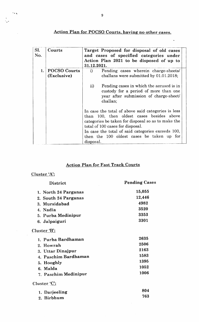# Action Plan for POCSO Courts. having no other cases,

 $\ddot{\phantom{0}}$ 

| SI.<br>No. | Courts                             | Target Proposed for disposal of old cases<br>and cases of specified categories under<br>Action Plan 2021 to be disposed of up to<br>31.12.2021.                                                                                                                                                          |
|------------|------------------------------------|----------------------------------------------------------------------------------------------------------------------------------------------------------------------------------------------------------------------------------------------------------------------------------------------------------|
| 1.         | <b>POCSO Courts</b><br>(Exclusive) | Pending cases wherein charge-sheets/<br>i)<br>challans were submitted by 01.01.2018;                                                                                                                                                                                                                     |
|            |                                    | ii)<br>Pending cases in which the accused is in<br>custody for a period of more than one<br>year after submission of charge-sheet/<br>challan;                                                                                                                                                           |
|            |                                    | In case the total of above said categories is less<br>than 100, then oldest cases besides above<br>categories be taken for disposal so as to make the<br>total of 100 cases for disposal.<br>In case the total of said categories exceeds 100,<br>then the 100 oldest cases be taken up for<br>disposal. |

# Action Plan for Fast Track Courts

# Cluster 'A':

 $\sim$ 

 $5.8$ 

| <b>Pending Cases</b> |
|----------------------|
| 15,055               |
| 12,446               |
| 4982                 |
| 3520                 |
| 3353                 |
| 3301                 |
|                      |
| 2635                 |
| 2506                 |
| 2163                 |
| 1583                 |
| 1395                 |
| 1052                 |
| 1006                 |
|                      |
| 804                  |
| 763                  |
|                      |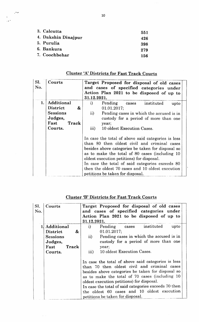| 3. Calcutta         | 551 |
|---------------------|-----|
| 4. Dakshin Dinajpur | 426 |
| 5. Purulia          | 398 |
| 6. Bankura          | 279 |
| 7. Coochbehar       | 156 |

 $\mathcal{O}(\mathcal{E})$ 

| SI.<br>No. | Courts               | Target Proposed for disposal of old cases<br>and cases of specified categories under                                                                                                                                                                                                                                                                                                              |  |  |  |  |  |
|------------|----------------------|---------------------------------------------------------------------------------------------------------------------------------------------------------------------------------------------------------------------------------------------------------------------------------------------------------------------------------------------------------------------------------------------------|--|--|--|--|--|
|            |                      | Action Plan 2021 to be disposed of up to                                                                                                                                                                                                                                                                                                                                                          |  |  |  |  |  |
|            |                      | 31.12.2021.                                                                                                                                                                                                                                                                                                                                                                                       |  |  |  |  |  |
| 1.         | Additional           | $\bf i)$<br>Pending<br>instituted<br>cases<br>upto                                                                                                                                                                                                                                                                                                                                                |  |  |  |  |  |
|            | <b>District</b><br>& | 01.01.2017;                                                                                                                                                                                                                                                                                                                                                                                       |  |  |  |  |  |
|            | <b>Sessions</b>      | $\rm ii)$<br>Pending cases in which the accused is in                                                                                                                                                                                                                                                                                                                                             |  |  |  |  |  |
|            | Judges,              | custody for a period of more than one                                                                                                                                                                                                                                                                                                                                                             |  |  |  |  |  |
|            | Fast<br>Track        | year;                                                                                                                                                                                                                                                                                                                                                                                             |  |  |  |  |  |
|            | Courts.              | iii)<br>10 oldest Execution Cases.                                                                                                                                                                                                                                                                                                                                                                |  |  |  |  |  |
|            |                      | In case the total of above said categories is less<br>than 80 then oldest civil and criminal cases<br>besides above categories be taken for disposal so<br>as to make the total of 80 cases (including 10<br>oldest execution petitions) for disposal.<br>In case the total of said categories exceeds 80<br>then the oldest 70 cases and 10 oldest execution<br>petitions be taken for disposal. |  |  |  |  |  |

# Cluster 'A' Districts for Fast Track Courts

| SI.<br>No. | Courts                                                                                | Target Proposed for disposal of old cases<br>and cases of specified categories under<br>Action Plan 2021 to be disposed of up to<br>31.12.2021.                                                                                                                                                                                                                                                   |
|------------|---------------------------------------------------------------------------------------|---------------------------------------------------------------------------------------------------------------------------------------------------------------------------------------------------------------------------------------------------------------------------------------------------------------------------------------------------------------------------------------------------|
| 1.         | Additional<br>&<br>District<br><b>Sessions</b><br>Judges,<br>Fast<br>Track<br>Courts. | instituted<br>i)<br>Pending cases<br>upto<br>01.01.2017;<br>$\ddot{\mathbf{i}}$<br>Pending cases in which the accused is in<br>custody for a period of more than one<br>year;<br>10 oldest Execution Cases.<br>iii)                                                                                                                                                                               |
|            |                                                                                       | In case the total of above said categories is less<br>than 70 then oldest civil and criminal cases<br>besides above categories be taken for disposal so<br>as to make the total of 70 cases (including 10<br>oldest execution petitions) for disposal.<br>In case the total of said categories exceeds 70 then<br>the oldest 60 cases and 10 oldest execution<br>petitions be taken for disposal. |

### Cluster'B'Districts for Fast Track Courts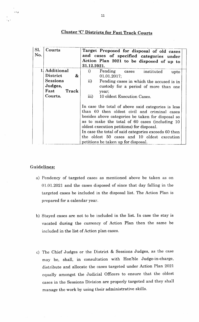# **Cluster 'C' Districts for Fast Track Courts**

| SI.<br>No. | Courts                               | Target Proposed for disposal of old cases<br>and cases of specified categories under<br>Action Plan 2021 to be disposed of up to<br>31.12.2021.                                                                                                                                                                                                                                                      |  |  |  |
|------------|--------------------------------------|------------------------------------------------------------------------------------------------------------------------------------------------------------------------------------------------------------------------------------------------------------------------------------------------------------------------------------------------------------------------------------------------------|--|--|--|
| 1          | Additional                           | i)<br>Pending cases<br>instituted<br>upto                                                                                                                                                                                                                                                                                                                                                            |  |  |  |
|            | <b>District</b><br>$\boldsymbol{\&}$ | 01.01.2017;                                                                                                                                                                                                                                                                                                                                                                                          |  |  |  |
|            | <b>Sessions</b>                      | $\overline{ii}$ )<br>Pending cases in which the accused is in                                                                                                                                                                                                                                                                                                                                        |  |  |  |
|            | Judges,                              | custody for a period of more than one                                                                                                                                                                                                                                                                                                                                                                |  |  |  |
|            | Fast<br>Track                        | year;                                                                                                                                                                                                                                                                                                                                                                                                |  |  |  |
|            | Courts.                              | iii)<br>10 oldest Execution Cases.                                                                                                                                                                                                                                                                                                                                                                   |  |  |  |
|            |                                      | In case the total of above said categories is less<br>than 60 then oldest civil and criminal cases<br>besides above categories be taken for disposal so<br>as to make the total of 60 cases (including 10<br>oldest execution petitions) for disposal.<br>In case the total of said categories exceeds 60 then<br>the oldest 50 cases and 10 oldest execution<br>petitions be taken up for disposal. |  |  |  |

### Guidelines:

ولأنا

- a) Pendency of targeted cases as mentioned above be taken as on 01.01 .2027 and the cases disposed of since that day falling in the targeted cases be included in the disposal list. The Action Plan is prepared for a calendar year.
- b) Stayed cases are not to be included in the list. In case the stay is vacated during the currency of Action Plan then the same be included in the list of Action plan cases.
- c) The Chief Judges or the District & Sessions Judges, as the case may be, shall, in consultation with Hon'ble Judge-in-charge, distribute and. allocate the cases targeted under Action Plan <sup>2021</sup> equally amongst the Judicial Officers to ensure that the oldest cases in the Sessions Division are properly targeted and they shall manage the work by using their administrative skills.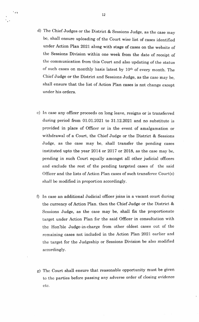- d) The Chief Judges or the District & Sessions Judge, as the case may bc, shall ensure uploading of the Court wise list of cases identified under Action Plan 2021 along with stage of cases on the website of the Sessions Division within one week from the date of receipt of the communication from this Court and also updating of the status of such cases on monthly basis latest by  $10<sup>th</sup>$  of every month. The Chief Judge or the District and Sessions Judge, as the case may be, shall ensure that the list of Action Plan cases is not change except under his orders.
- c) In case any officer proceeds on long leave, resigns or is transferred during period from 01.01.2021 to 3I.12.2027 and no substitute is provided in place of Officer or in the event of amalgamation or withdrawal of a Court, the Chief Judge or the District & Sessions Judge, as the case may be, shall transfer the pending cases instituted upto the year 2014 or 2017 or 2018, as the case may be, pending in such Court equally amongst all other judicial officers and exclude the rest of the pending targeted cases of the said Officer and the lists of Action Plan cases of such transferee Court(s) shall be modified in proportion accordingly.
- 0 In case an additional Judicial officer joins in a vacant court during the currency of Action Plan, then the Chief Judge or the District & Sessions Judge, as the case may be, shall fix the proportionate target under Action Plan for the said Officer in consultation with the Hon'ble Judge-in-charge from other oldest cases out of the rcmaining cases not included in the Action PIan 2021 earlier and the target for the Judgeship or Sessions Division be also modified accordingly.
- g) I'he Court shall ensure that reasonable opportunity must be given to the parties before passing any adverse order of closing evidence ctc

'at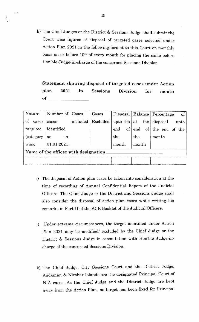h) The Chief Judges or the District & Sessions Judge shatl submit the Court wise figures of disposal of targeted cases selected under Action Plan 2021 in the following format to this Court on monthly basis on or before 10<sup>th</sup> of every month for placing the same before Hon'ble Judge-in-charge of the concerned Sessions Division.

Statement showing disposal of targeted cases under Action plan 202L in Sessions Division for month  $of$ 

| Nature                               | Number of   Cases   |          | Cases    |       |       | Disposal   Balance   Percentage<br>$\circ$ of    |  |  |
|--------------------------------------|---------------------|----------|----------|-------|-------|--------------------------------------------------|--|--|
| of<br>cases                          | cases               | included | Excluded |       |       | upto the $\vert$ at the $\vert$ disposal<br>upto |  |  |
| targeted                             | identified          |          |          | end   |       | of end of the end of the                         |  |  |
| (category)                           | as<br><sub>on</sub> |          |          | the   | the   | month                                            |  |  |
| wise)                                | 01.01.2021          |          |          | month | month |                                                  |  |  |
| Name of the officer with designation |                     |          |          |       |       |                                                  |  |  |
|                                      |                     |          |          |       |       |                                                  |  |  |

- i) The disposal of Action plan cases be taken into consideration at the time of recording of Annual Confidential Report of the Judicial Officers. The Chief Judge or the District and Sessions Judge shall also consider the disposal of action plan cases while writing his remarks in Part-II of the ACR Booklet of the Judicial Officers.
- j) lJnder extreme circumstances, the target identified under Action Plan 2021 may be modified/ excluded by the Chief Judge or the District & Sessions Judge in consultation with Hon'ble Judge-incharge of the concerned Sessions Division.
- l<) Thc Chief Judge, City Sessions Court and the District Judge, Andaman & Nicobar Islands are the designated Principal Court of NIA cases. As the Chief Judge and the District Judge are kept away from the Action Plan, no target has been fixed for Principal

.<br>'\* +